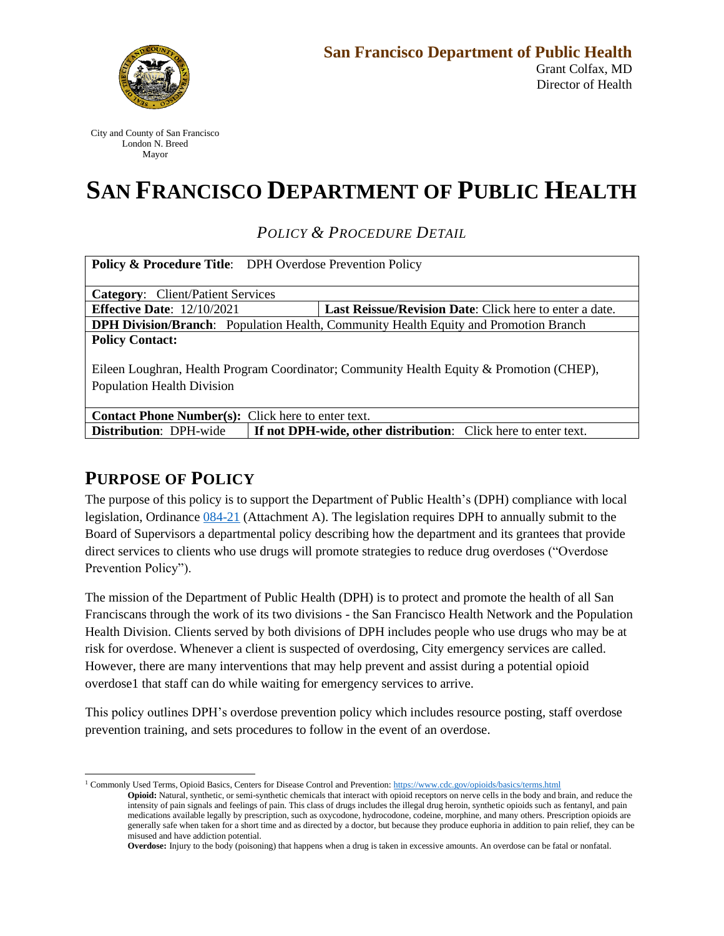

City and County of San Francisco London N. Breed Mayor

# **SAN FRANCISCO DEPARTMENT OF PUBLIC HEALTH**

*POLICY & PROCEDURE DETAIL*

| <b>Policy &amp; Procedure Title:</b> DPH Overdose Prevention Policy                         |                                                         |
|---------------------------------------------------------------------------------------------|---------------------------------------------------------|
|                                                                                             |                                                         |
| <b>Category:</b> Client/Patient Services                                                    |                                                         |
| <b>Effective Date:</b> $12/10/2021$                                                         | Last Reissue/Revision Date: Click here to enter a date. |
| <b>DPH Division/Branch:</b> Population Health, Community Health Equity and Promotion Branch |                                                         |
| <b>Policy Contact:</b>                                                                      |                                                         |
|                                                                                             |                                                         |
| Eileen Loughran, Health Program Coordinator; Community Health Equity & Promotion (CHEP),    |                                                         |
| <b>Population Health Division</b>                                                           |                                                         |
|                                                                                             |                                                         |
| <b>Contact Phone Number(s):</b> Click here to enter text.                                   |                                                         |
|                                                                                             |                                                         |

**Distribution**: DPH-wide **If not DPH-wide, other distribution**: Click here to enter text.

### **PURPOSE OF POLICY**

The purpose of this policy is to support the Department of Public Health's (DPH) compliance with local legislation, Ordinance 084-21 (Attachment A). The legislation requires DPH to annually submit to the Board of Supervisors a departmental policy describing how the department and its grantees that provide direct services to clients who use drugs will promote strategies to reduce drug overdoses ("Overdose Prevention Policy").

The mission of the Department of Public Health (DPH) is to protect and promote the health of all San Franciscans through the work of its two divisions - the San Francisco Health Network and the Population Health Division. Clients served by both divisions of DPH includes people who use drugs who may be at risk for overdose. Whenever a client is suspected of overdosing, City emergency services are called. However, there are many interventions that may help prevent and assist during a potential opioid overdose1 that staff can do while waiting for emergency services to arrive.

This policy outlines DPH's overdose prevention policy which includes resource posting, staff overdose prevention training, and sets procedures to follow in the event of an overdose.

<sup>&</sup>lt;sup>1</sup> Commonly Used Terms, Opioid Basics, Centers for Disease Control and Prevention: https://www.cdc.gov/opioids/basics/terms.html **Opioid:** Natural, synthetic, or semi-synthetic chemicals that interact with opioid receptors on nerve cells in the body and brain, and reduce the intensity of pain signals and feelings of pain. This class of drugs includes the illegal drug heroin, synthetic opioids such as fentanyl, and pain medications available legally by prescription, such as oxycodone, hydrocodone, codeine, morphine, and many others. Prescription opioids are generally safe when taken for a short time and as directed by a doctor, but because they produce euphoria in addition to pain relief, they can be misused and have addiction potential.

**Overdose:** Injury to the body (poisoning) that happens when a drug is taken in excessive amounts. An overdose can be fatal or nonfatal.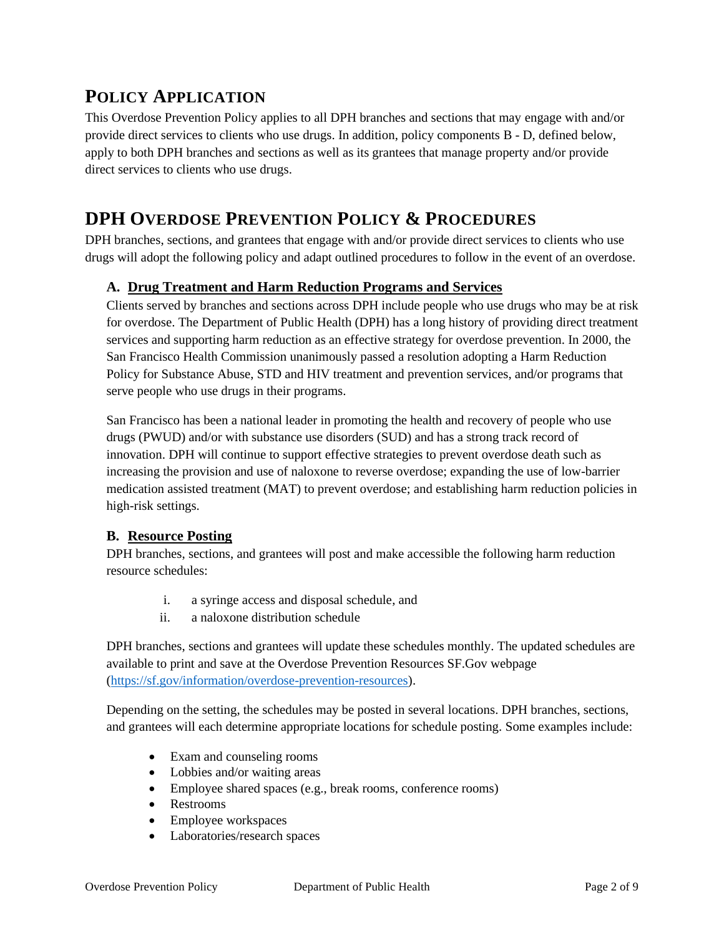## **POLICY APPLICATION**

This Overdose Prevention Policy applies to all DPH branches and sections that may engage with and/or provide direct services to clients who use drugs. In addition, policy components B - D, defined below, apply to both DPH branches and sections as well as its grantees that manage property and/or provide direct services to clients who use drugs.

## **DPH OVERDOSE PREVENTION POLICY & PROCEDURES**

DPH branches, sections, and grantees that engage with and/or provide direct services to clients who use drugs will adopt the following policy and adapt outlined procedures to follow in the event of an overdose.

#### **A. Drug Treatment and Harm Reduction Programs and Services**

Clients served by branches and sections across DPH include people who use drugs who may be at risk for overdose. The Department of Public Health (DPH) has a long history of providing direct treatment services and supporting harm reduction as an effective strategy for overdose prevention. In 2000, the San Francisco Health Commission unanimously passed a resolution adopting a Harm Reduction Policy for Substance Abuse, STD and HIV treatment and prevention services, and/or programs that serve people who use drugs in their programs.

San Francisco has been a national leader in promoting the health and recovery of people who use drugs (PWUD) and/or with substance use disorders (SUD) and has a strong track record of innovation. DPH will continue to support effective strategies to prevent overdose death such as increasing the provision and use of naloxone to reverse overdose; expanding the use of low-barrier medication assisted treatment (MAT) to prevent overdose; and establishing harm reduction policies in high-risk settings.

#### **B. Resource Posting**

DPH branches, sections, and grantees will post and make accessible the following harm reduction resource schedules:

- i. a syringe access and disposal schedule, and
- ii. a naloxone distribution schedule

DPH branches, sections and grantees will update these schedules monthly. The updated schedules are available to print and save at the Overdose Prevention Resources SF.Gov webpage (https://sf.gov/information/overdose-prevention-resources).

Depending on the setting, the schedules may be posted in several locations. DPH branches, sections, and grantees will each determine appropriate locations for schedule posting. Some examples include:

- Exam and counseling rooms
- Lobbies and/or waiting areas
- Employee shared spaces (e.g., break rooms, conference rooms)
- Restrooms
- Employee workspaces
- Laboratories/research spaces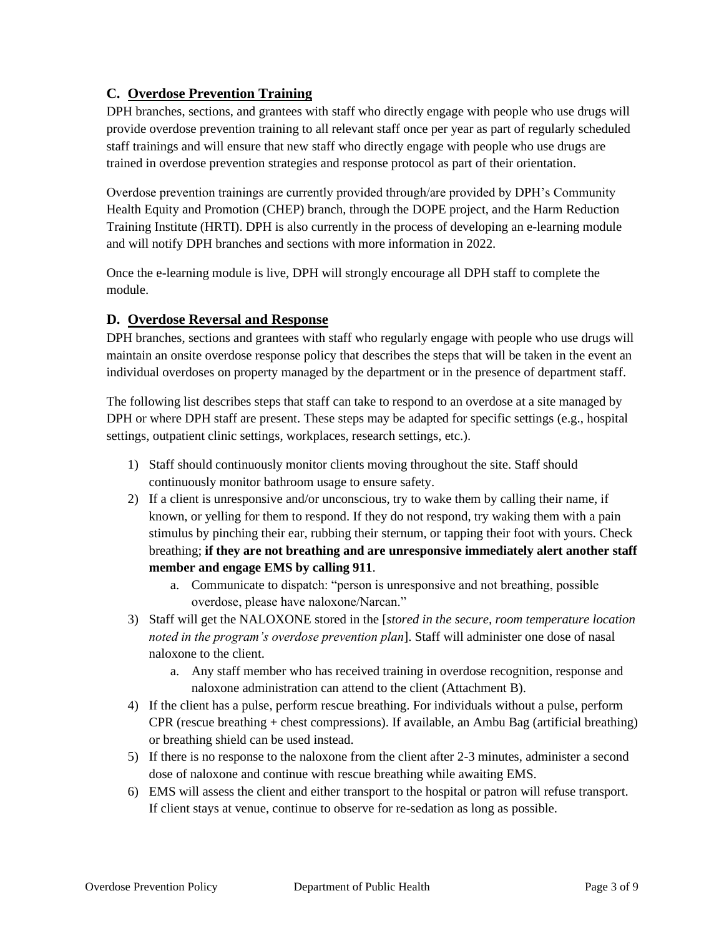#### **C. Overdose Prevention Training**

DPH branches, sections, and grantees with staff who directly engage with people who use drugs will provide overdose prevention training to all relevant staff once per year as part of regularly scheduled staff trainings and will ensure that new staff who directly engage with people who use drugs are trained in overdose prevention strategies and response protocol as part of their orientation.

Overdose prevention trainings are currently provided through/are provided by DPH's Community Health Equity and Promotion (CHEP) branch, through the DOPE project, and the Harm Reduction Training Institute (HRTI). DPH is also currently in the process of developing an e-learning module and will notify DPH branches and sections with more information in 2022.

Once the e-learning module is live, DPH will strongly encourage all DPH staff to complete the module.

#### **D. Overdose Reversal and Response**

DPH branches, sections and grantees with staff who regularly engage with people who use drugs will maintain an onsite overdose response policy that describes the steps that will be taken in the event an individual overdoses on property managed by the department or in the presence of department staff.

The following list describes steps that staff can take to respond to an overdose at a site managed by DPH or where DPH staff are present. These steps may be adapted for specific settings (e.g., hospital settings, outpatient clinic settings, workplaces, research settings, etc.).

- 1) Staff should continuously monitor clients moving throughout the site. Staff should continuously monitor bathroom usage to ensure safety.
- 2) If a client is unresponsive and/or unconscious, try to wake them by calling their name, if known, or yelling for them to respond. If they do not respond, try waking them with a pain stimulus by pinching their ear, rubbing their sternum, or tapping their foot with yours. Check breathing; **if they are not breathing and are unresponsive immediately alert another staff member and engage EMS by calling 911**.
	- a. Communicate to dispatch: "person is unresponsive and not breathing, possible overdose, please have naloxone/Narcan."
- 3) Staff will get the NALOXONE stored in the [*stored in the secure, room temperature location noted in the program's overdose prevention plan*]. Staff will administer one dose of nasal naloxone to the client.
	- a. Any staff member who has received training in overdose recognition, response and naloxone administration can attend to the client (Attachment B).
- 4) If the client has a pulse, perform rescue breathing. For individuals without a pulse, perform CPR (rescue breathing  $+$  chest compressions). If available, an Ambu Bag (artificial breathing) or breathing shield can be used instead.
- 5) If there is no response to the naloxone from the client after 2-3 minutes, administer a second dose of naloxone and continue with rescue breathing while awaiting EMS.
- 6) EMS will assess the client and either transport to the hospital or patron will refuse transport. If client stays at venue, continue to observe for re-sedation as long as possible.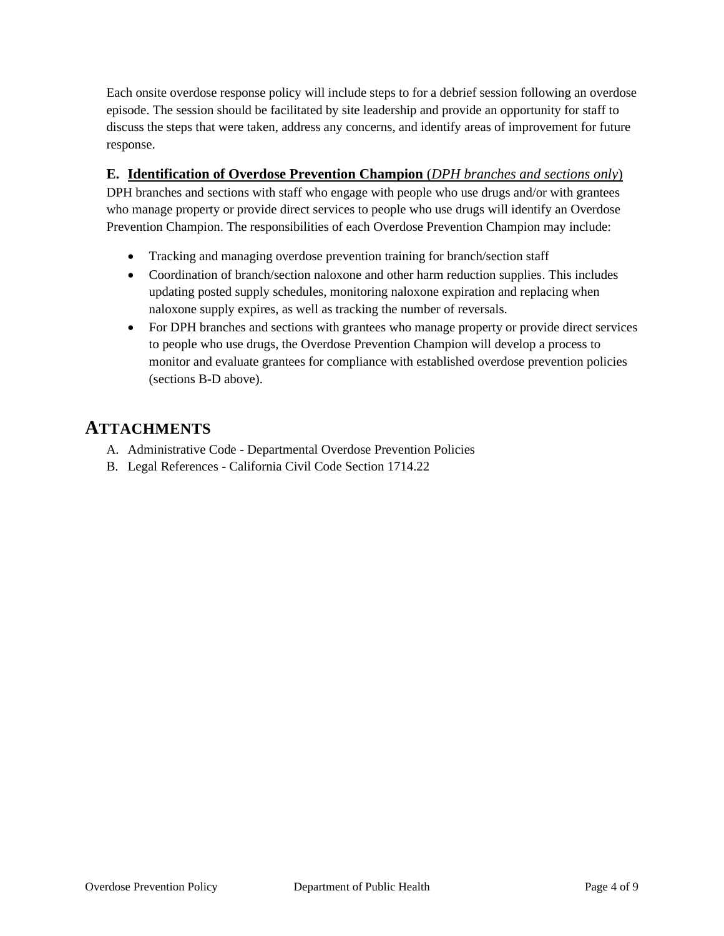Each onsite overdose response policy will include steps to for a debrief session following an overdose episode. The session should be facilitated by site leadership and provide an opportunity for staff to discuss the steps that were taken, address any concerns, and identify areas of improvement for future response.

#### **E. Identification of Overdose Prevention Champion** (*DPH branches and sections only*)

DPH branches and sections with staff who engage with people who use drugs and/or with grantees who manage property or provide direct services to people who use drugs will identify an Overdose Prevention Champion. The responsibilities of each Overdose Prevention Champion may include:

- Tracking and managing overdose prevention training for branch/section staff
- Coordination of branch/section naloxone and other harm reduction supplies. This includes updating posted supply schedules, monitoring naloxone expiration and replacing when naloxone supply expires, as well as tracking the number of reversals.
- For DPH branches and sections with grantees who manage property or provide direct services to people who use drugs, the Overdose Prevention Champion will develop a process to monitor and evaluate grantees for compliance with established overdose prevention policies (sections B-D above).

### **ATTACHMENTS**

- A. Administrative Code Departmental Overdose Prevention Policies
- B. Legal References California Civil Code Section 1714.22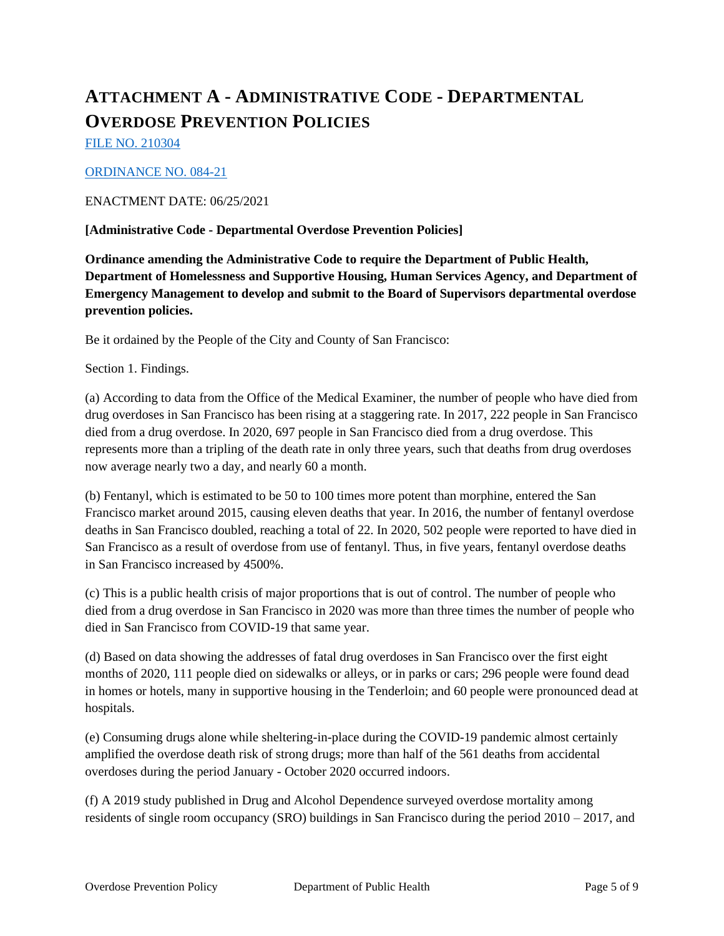## **ATTACHMENT A - ADMINISTRATIVE CODE - DEPARTMENTAL OVERDOSE PREVENTION POLICIES**

FILE NO. 210304

#### ORDINANCE NO. 084-21

#### ENACTMENT DATE: 06/25/2021

#### **[Administrative Code - Departmental Overdose Prevention Policies]**

**Ordinance amending the Administrative Code to require the Department of Public Health, Department of Homelessness and Supportive Housing, Human Services Agency, and Department of Emergency Management to develop and submit to the Board of Supervisors departmental overdose prevention policies.**

Be it ordained by the People of the City and County of San Francisco:

Section 1. Findings.

(a) According to data from the Office of the Medical Examiner, the number of people who have died from drug overdoses in San Francisco has been rising at a staggering rate. In 2017, 222 people in San Francisco died from a drug overdose. In 2020, 697 people in San Francisco died from a drug overdose. This represents more than a tripling of the death rate in only three years, such that deaths from drug overdoses now average nearly two a day, and nearly 60 a month.

(b) Fentanyl, which is estimated to be 50 to 100 times more potent than morphine, entered the San Francisco market around 2015, causing eleven deaths that year. In 2016, the number of fentanyl overdose deaths in San Francisco doubled, reaching a total of 22. In 2020, 502 people were reported to have died in San Francisco as a result of overdose from use of fentanyl. Thus, in five years, fentanyl overdose deaths in San Francisco increased by 4500%.

(c) This is a public health crisis of major proportions that is out of control. The number of people who died from a drug overdose in San Francisco in 2020 was more than three times the number of people who died in San Francisco from COVID-19 that same year.

(d) Based on data showing the addresses of fatal drug overdoses in San Francisco over the first eight months of 2020, 111 people died on sidewalks or alleys, or in parks or cars; 296 people were found dead in homes or hotels, many in supportive housing in the Tenderloin; and 60 people were pronounced dead at hospitals.

(e) Consuming drugs alone while sheltering-in-place during the COVID-19 pandemic almost certainly amplified the overdose death risk of strong drugs; more than half of the 561 deaths from accidental overdoses during the period January - October 2020 occurred indoors.

(f) A 2019 study published in Drug and Alcohol Dependence surveyed overdose mortality among residents of single room occupancy (SRO) buildings in San Francisco during the period 2010 – 2017, and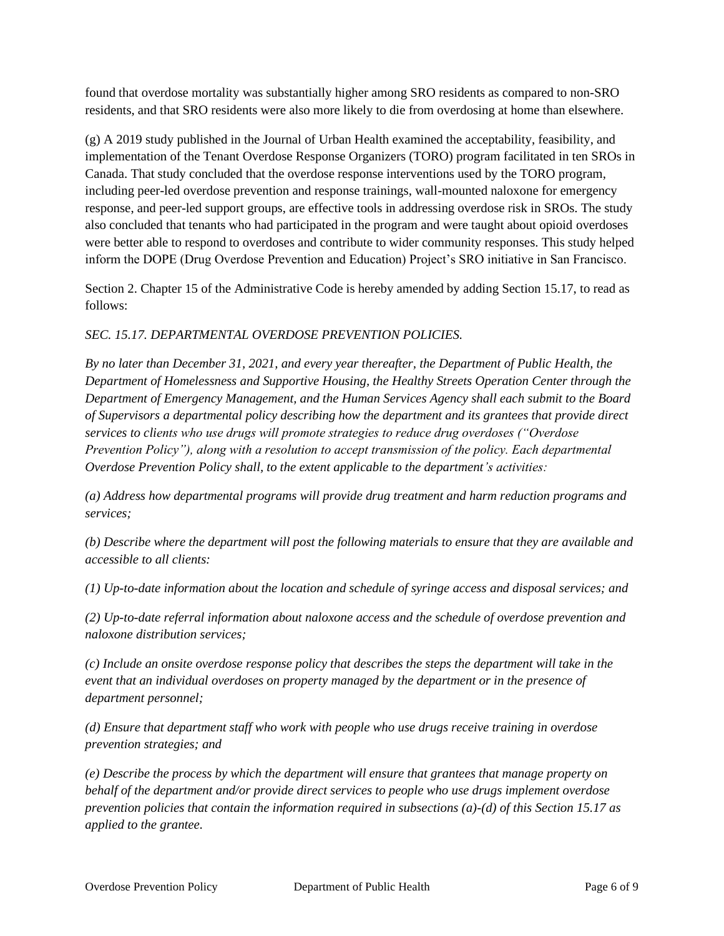found that overdose mortality was substantially higher among SRO residents as compared to non-SRO residents, and that SRO residents were also more likely to die from overdosing at home than elsewhere.

(g) A 2019 study published in the Journal of Urban Health examined the acceptability, feasibility, and implementation of the Tenant Overdose Response Organizers (TORO) program facilitated in ten SROs in Canada. That study concluded that the overdose response interventions used by the TORO program, including peer-led overdose prevention and response trainings, wall-mounted naloxone for emergency response, and peer-led support groups, are effective tools in addressing overdose risk in SROs. The study also concluded that tenants who had participated in the program and were taught about opioid overdoses were better able to respond to overdoses and contribute to wider community responses. This study helped inform the DOPE (Drug Overdose Prevention and Education) Project's SRO initiative in San Francisco.

Section 2. Chapter 15 of the Administrative Code is hereby amended by adding Section 15.17, to read as follows:

#### *SEC. 15.17. DEPARTMENTAL OVERDOSE PREVENTION POLICIES.*

*By no later than December 31, 2021, and every year thereafter, the Department of Public Health, the Department of Homelessness and Supportive Housing, the Healthy Streets Operation Center through the Department of Emergency Management, and the Human Services Agency shall each submit to the Board of Supervisors a departmental policy describing how the department and its grantees that provide direct services to clients who use drugs will promote strategies to reduce drug overdoses ("Overdose Prevention Policy"), along with a resolution to accept transmission of the policy. Each departmental Overdose Prevention Policy shall, to the extent applicable to the department's activities:*

*(a) Address how departmental programs will provide drug treatment and harm reduction programs and services;* 

*(b) Describe where the department will post the following materials to ensure that they are available and accessible to all clients:*

*(1) Up-to-date information about the location and schedule of syringe access and disposal services; and*

*(2) Up-to-date referral information about naloxone access and the schedule of overdose prevention and naloxone distribution services;*

*(c) Include an onsite overdose response policy that describes the steps the department will take in the event that an individual overdoses on property managed by the department or in the presence of department personnel;*

*(d) Ensure that department staff who work with people who use drugs receive training in overdose prevention strategies; and*

*(e) Describe the process by which the department will ensure that grantees that manage property on behalf of the department and/or provide direct services to people who use drugs implement overdose prevention policies that contain the information required in subsections (a)-(d) of this Section 15.17 as applied to the grantee.*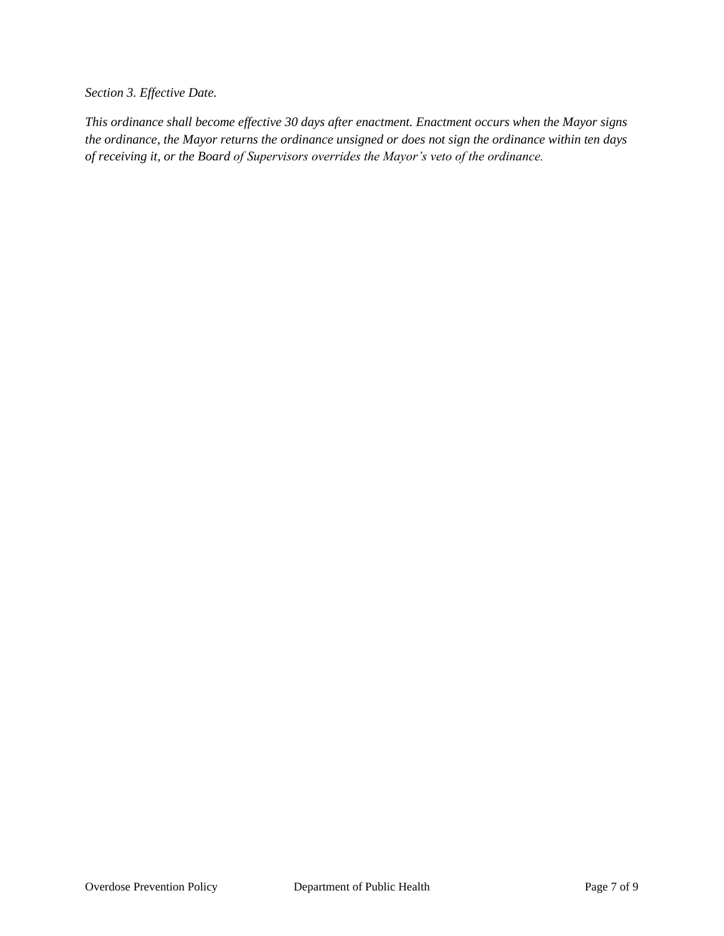*Section 3. Effective Date.* 

*This ordinance shall become effective 30 days after enactment. Enactment occurs when the Mayor signs the ordinance, the Mayor returns the ordinance unsigned or does not sign the ordinance within ten days of receiving it, or the Board of Supervisors overrides the Mayor's veto of the ordinance.*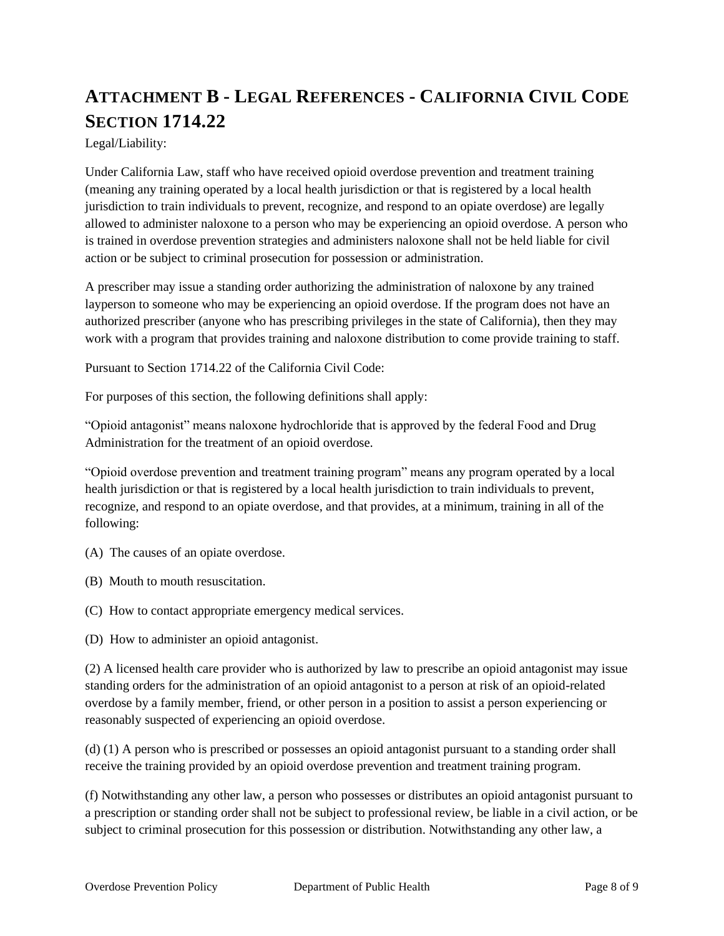## **ATTACHMENT B - LEGAL REFERENCES - CALIFORNIA CIVIL CODE SECTION 1714.22**

Legal/Liability:

Under California Law, staff who have received opioid overdose prevention and treatment training (meaning any training operated by a local health jurisdiction or that is registered by a local health jurisdiction to train individuals to prevent, recognize, and respond to an opiate overdose) are legally allowed to administer naloxone to a person who may be experiencing an opioid overdose. A person who is trained in overdose prevention strategies and administers naloxone shall not be held liable for civil action or be subject to criminal prosecution for possession or administration.

A prescriber may issue a standing order authorizing the administration of naloxone by any trained layperson to someone who may be experiencing an opioid overdose. If the program does not have an authorized prescriber (anyone who has prescribing privileges in the state of California), then they may work with a program that provides training and naloxone distribution to come provide training to staff.

Pursuant to Section 1714.22 of the California Civil Code:

For purposes of this section, the following definitions shall apply:

"Opioid antagonist" means naloxone hydrochloride that is approved by the federal Food and Drug Administration for the treatment of an opioid overdose.

"Opioid overdose prevention and treatment training program" means any program operated by a local health jurisdiction or that is registered by a local health jurisdiction to train individuals to prevent, recognize, and respond to an opiate overdose, and that provides, at a minimum, training in all of the following:

(A) The causes of an opiate overdose.

- (B) Mouth to mouth resuscitation.
- (C) How to contact appropriate emergency medical services.
- (D) How to administer an opioid antagonist.

(2) A licensed health care provider who is authorized by law to prescribe an opioid antagonist may issue standing orders for the administration of an opioid antagonist to a person at risk of an opioid-related overdose by a family member, friend, or other person in a position to assist a person experiencing or reasonably suspected of experiencing an opioid overdose.

(d) (1) A person who is prescribed or possesses an opioid antagonist pursuant to a standing order shall receive the training provided by an opioid overdose prevention and treatment training program.

(f) Notwithstanding any other law, a person who possesses or distributes an opioid antagonist pursuant to a prescription or standing order shall not be subject to professional review, be liable in a civil action, or be subject to criminal prosecution for this possession or distribution. Notwithstanding any other law, a